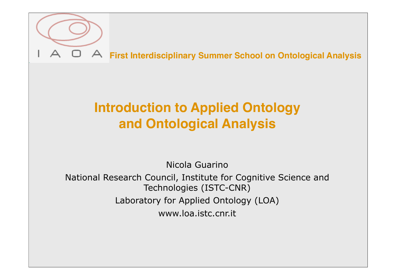

## **Introduction to Applied Ontology and Ontological Analysis**

Nicola Guarino

National Research Council, Institute for Cognitive Science and Technologies (ISTC-CNR) Laboratory for Applied Ontology (LOA) www.loa.istc.cnr.it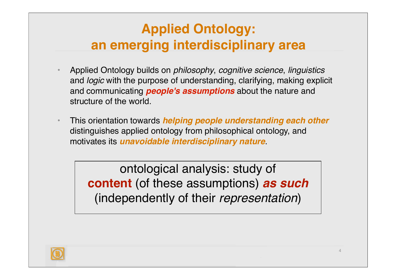## **Applied Ontology: an emerging interdisciplinary area**

- Applied Ontology builds on *philosophy*, *cognitive science*, *linguistics* and *logic* with the purpose of understanding, clarifying, making explicit and communicating *people's assumptions* about the nature and structure of the world.
- This orientation towards *helping people understanding each other* distinguishes applied ontology from philosophical ontology, and motivates its *unavoidable interdisciplinary nature*.

ontological analysis: study of **content** (of these assumptions) *as such* (independently of their *representation*)

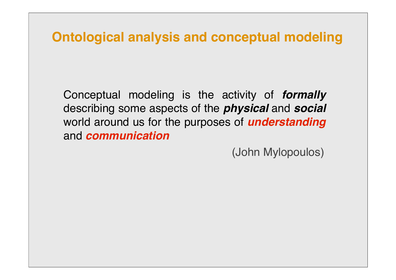#### **Ontological analysis and conceptual modeling**

Conceptual modeling is the activity of *formally* describing some aspects of the *physical* and *social* world around us for the purposes of *understanding* and *communication*

(John Mylopoulos)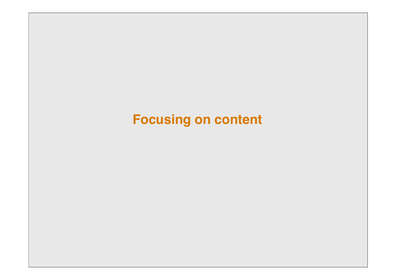# **Focusing on content**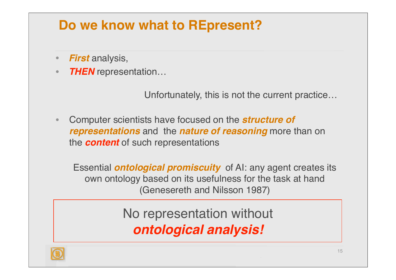## **Do we know what to REpresent?**

- *First* analysis,
- *THEN* representation…

Unfortunately, this is not the current practice…

• Computer scientists have focused on the *structure of representations* and the *nature of reasoning* more than on the *content* of such representations

Essential *ontological promiscuity* of AI: any agent creates its own ontology based on its usefulness for the task at hand (Genesereth and Nilsson 1987)

> No representation without *ontological analysis!*

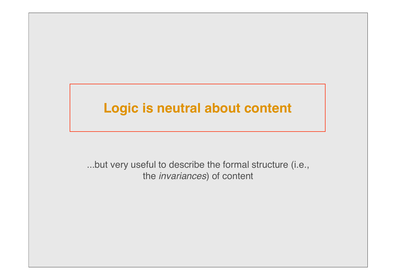#### **Logic is neutral about content**

...but very useful to describe the formal structure (i.e., the *invariances*) of content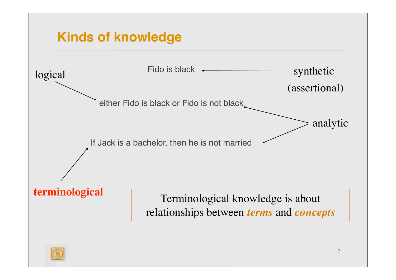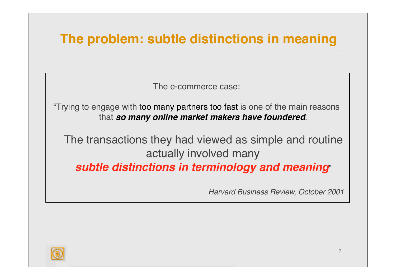## **The problem: subtle distinctions in meaning**

The e-commerce case:

"Trying to engage with too many partners too fast is one of the main reasons that *so many online market makers have foundered*.

The transactions they had viewed as simple and routine actually involved many

*subtle distinctions in terminology and meaning*"

*Harvard Business Review, October 2001*

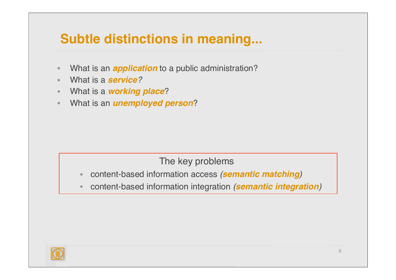## **Subtle distinctions in meaning...**

- What is an *application* to a public administration?
- What is a *service?*
- What is a *working place*?
- What is an *unemployed person*?

#### The key problems

- content-based information access *(semantic matching)*
- content-based information integration *(semantic integration)*

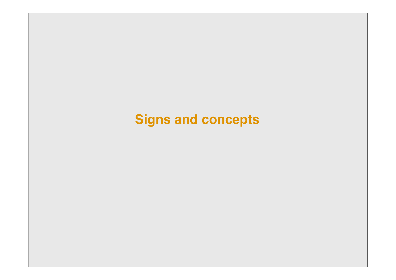# **Signs and concepts**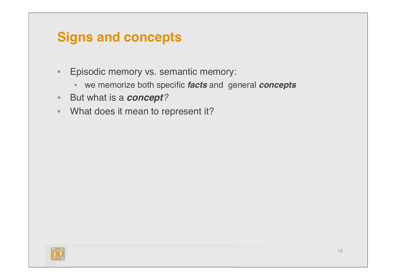#### **Signs and concepts**

- Episodic memory vs. semantic memory:
	- we memorize both specific *facts* and general *concepts*
- But what is a *concept?*
- What does it mean to represent it?

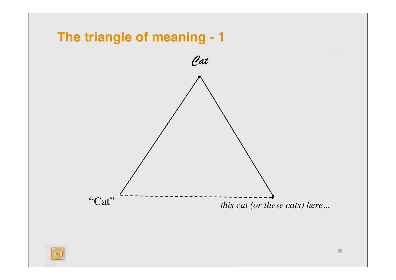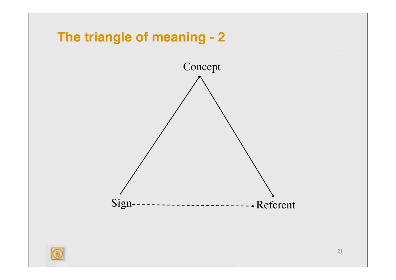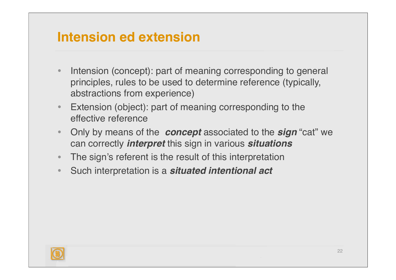### **Intension ed extension**

- Intension (concept): part of meaning corresponding to general principles, rules to be used to determine reference (typically, abstractions from experience)
- Extension (object): part of meaning corresponding to the effective reference
- Only by means of the *concept* associated to the *sign* "cat" we can correctly *interpret* this sign in various *situations*
- The sign's referent is the result of this interpretation
- Such interpretation is a *situated intentional act*

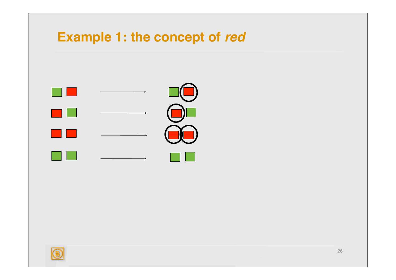### **Example 1: the concept of red**



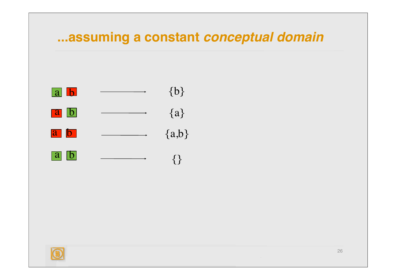#### **...assuming a constant** *conceptual domain*



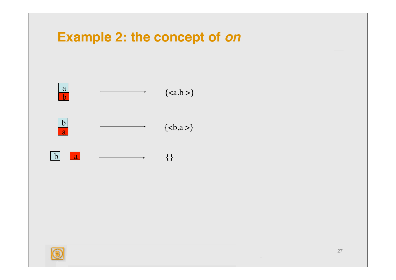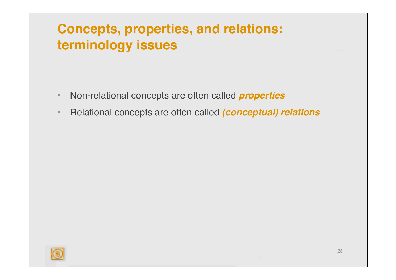## **Concepts, properties, and relations: terminology issues**

- Non-relational concepts are often called *properties*
- Relational concepts are often called *(conceptual) relations*

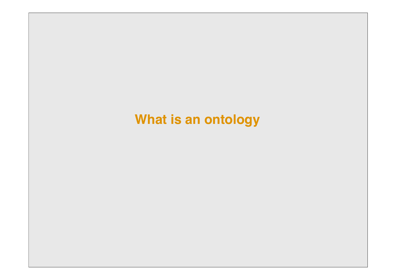### **What is an ontology**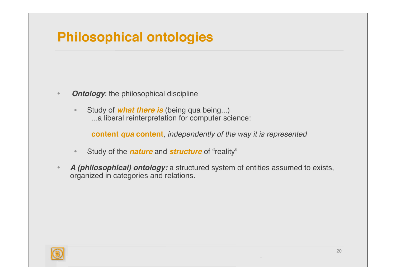## **Philosophical ontologies**

- *Ontology*: the philosophical discipline
	- Study of *what there is* (being qua being...) ...a liberal reinterpretation for computer science:

**content** *qua* **content**, *independently of the way it is represented*

- Study of the *nature* and *structure* of "reality"
- *A (philosophical) ontology:* a structured system of entities assumed to exists, organized in categories and relations.

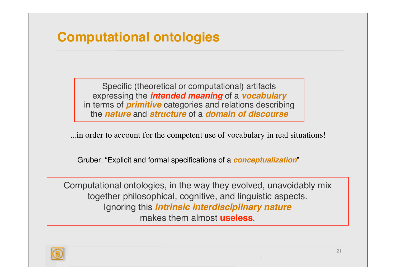## **Computational ontologies**

Specific (theoretical or computational) artifacts expressing the *intended meaning* of a *vocabulary* in terms of *primitive* categories and relations describing the *nature* and *structure* of a *domain of discourse*

...in order to account for the competent use of vocabulary in real situations!

Gruber: "Explicit and formal specifications of a *conceptualization*"

Computational ontologies, in the way they evolved, unavoidably mix together philosophical, cognitive, and linguistic aspects. Ignoring this *intrinsic interdisciplinary nature* makes them almost **useless**.

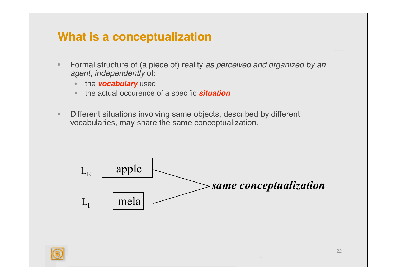#### **What is a conceptualization**

- Formal structure of (a piece of) reality *as perceived and organized by an agent*, *independently* of:
	- the *vocabulary* used
	- the actual occurence of a specific *situation*
- Different situations involving same objects, described by different vocabularies, may share the same conceptualization.

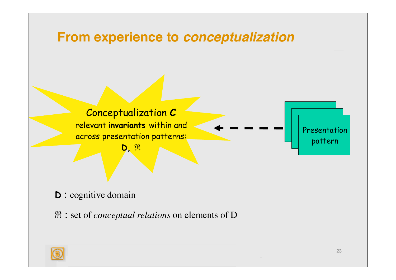

**D** : cognitive domain

ℜ : set of *conceptual relations* on elements of D

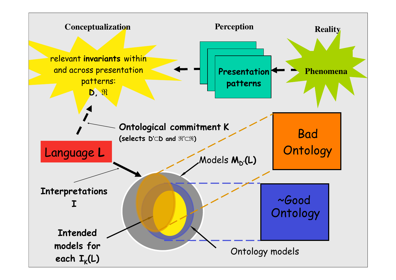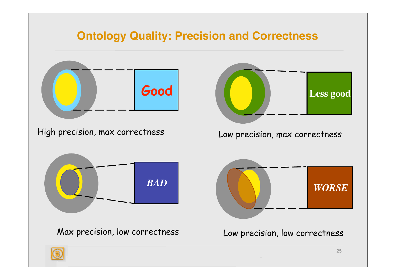#### **Ontology Quality: Precision and Correctness**

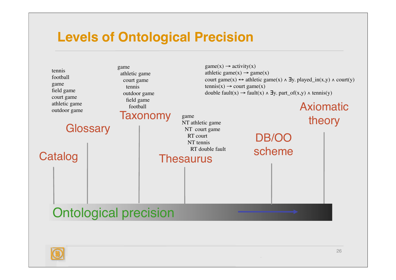#### **Levels of Ontological Precision**



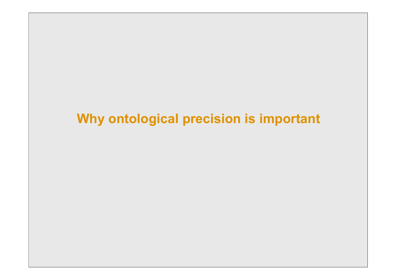## **Why ontological precision is important**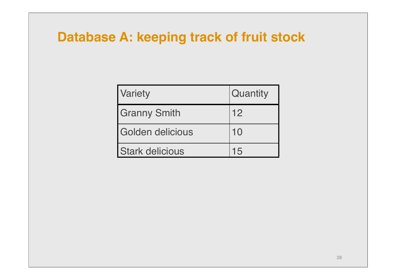### **Database A: keeping track of fruit stock**

| Variety                | Quantity |
|------------------------|----------|
| <b>Granny Smith</b>    | 12       |
| Golden delicious       | 10       |
| <b>Stark delicious</b> |          |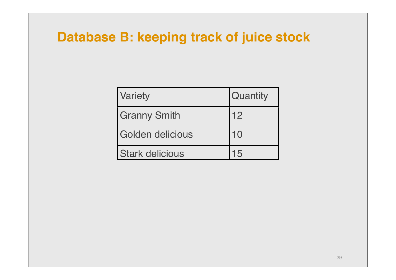### **Database B: keeping track of juice stock**

| Variety                | <b>Quantity</b> |
|------------------------|-----------------|
| <b>Granny Smith</b>    | 12              |
| Golden delicious       | 10              |
| <b>Stark delicious</b> | 15              |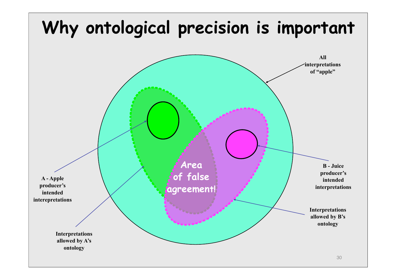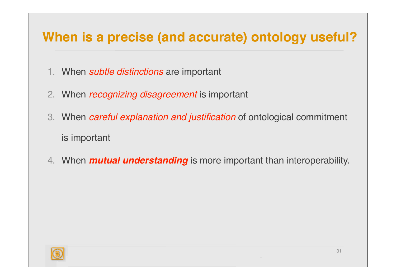## **When is a precise (and accurate) ontology useful?**

- 1. When *subtle distinctions* are important
- 2. When *recognizing disagreement* is important
- 3. When *careful explanation and justification* of ontological commitment is important
- 4. When *mutual understanding* is more important than interoperability.

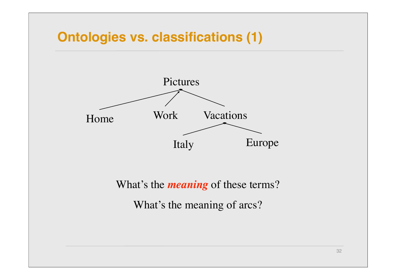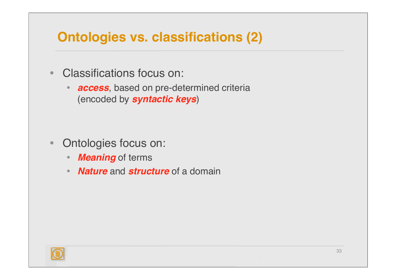## **Ontologies vs. classifications (2)**

- Classifications focus on:
	- *access*, based on pre-determined criteria (encoded by *syntactic keys*)

- Ontologies focus on:
	- *Meaning* of terms
	- *Nature* and *structure* of a domain

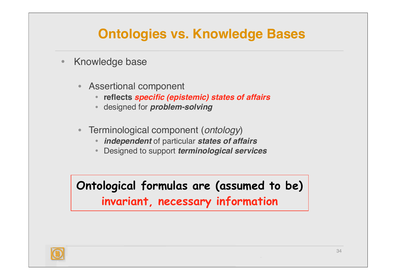## **Ontologies vs. Knowledge Bases**

- Knowledge base
	- Assertional component
		- **reflects** *specific (epistemic) states of affairs*
		- designed for *problem-solving*
	- Terminological component (*ontology*)
		- *independent* of particular *states of affairs*
		- Designed to support *terminological services*

**Ontological formulas are (assumed to be) invariant, necessary information**

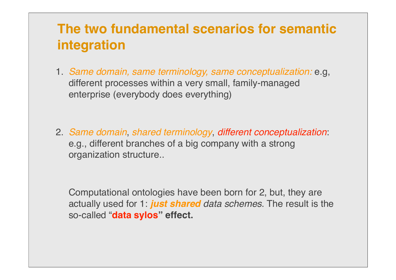## **The two fundamental scenarios for semantic integration**

- 1. *Same domain, same terminology, same conceptualization:* e.g, different processes within a very small, family-managed enterprise (everybody does everything)
- 2. *Same domain*, *shared terminology*, *different conceptualization*: e.g., different branches of a big company with a strong organization structure..

Computational ontologies have been born for 2, but, they are actually used for 1: *just shared data schemes*. The result is the so-called "**data sylos" effect.**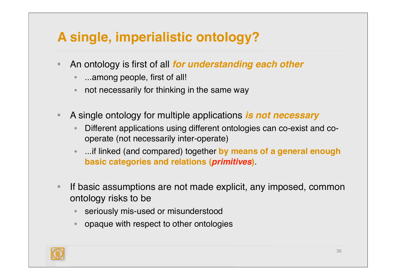## **A single, imperialistic ontology?**

- An ontology is first of all *for understanding each other*
	- ...among people, first of all!
	- not necessarily for thinking in the same way
- A single ontology for multiple applications *is not necessary*
	- Different applications using different ontologies can co-exist and cooperate (not necessarily inter-operate)
	- ...if linked (and compared) together **by means of a general enough basic categories and relations (***primitives***)**.
- If basic assumptions are not made explicit, any imposed, common ontology risks to be
	- seriously mis-used or misunderstood
	- opaque with respect to other ontologies

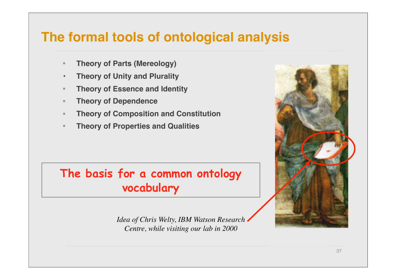#### **The formal tools of ontological analysis**

- **Theory of Parts (Mereology)**
- **• Theory of Unity and Plurality**
- **Theory of Essence and Identity**
- **Theory of Dependence**
- **Theory of Composition and Constitution**
- **Theory of Properties and Qualities**

#### **The basis for a common ontology vocabulary**

*Idea of Chris Welty, IBM Watson Research Centre, while visiting our lab in 2000*

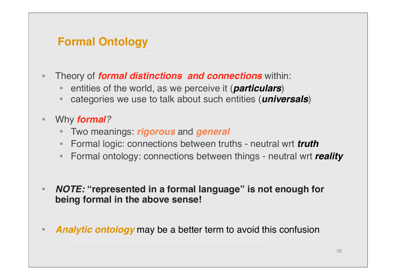#### **Formal Ontology**

- Theory of *formal distinctions and connections* within:
	- entities of the world, as we perceive it (*particulars*)
	- categories we use to talk about such entities (*universals*)
- Why *formal?*
	- Two meanings: *rigorous* and *general*
	- Formal logic: connections between truths neutral wrt *truth*
	- Formal ontology: connections between things neutral wrt *reality*
- *NOTE:* **"represented in a formal language" is not enough for being formal in the above sense!**
- *Analytic ontology* may be a better term to avoid this confusion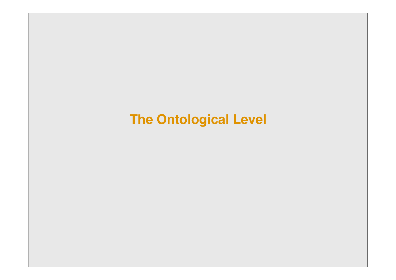## **The Ontological Level**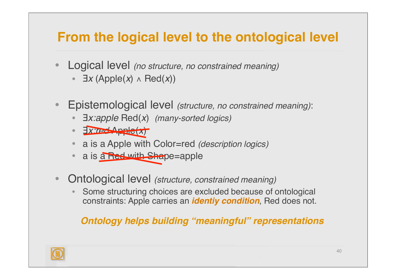## **From the logical level to the ontological level**

- Logical level *(no structure, no constrained meaning)*
	- ∃*x* (Apple(*x*) ∧ Red(*x*))
- Epistemological level *(structure, no constrained meaning)*:
	- ∃*x:apple* Red(*x*) *(many-sorted logics)*
	- ∃*x:red* Apple(*x*)
	- a is a Apple with Color=red *(description logics)*
	- a is a Red with Shape=apple
- Ontological level *(structure, constrained meaning)*
	- Some structuring choices are excluded because of ontological constraints: Apple carries an *identiy condition*, Red does not.

#### *Ontology helps building "meaningful" representations*

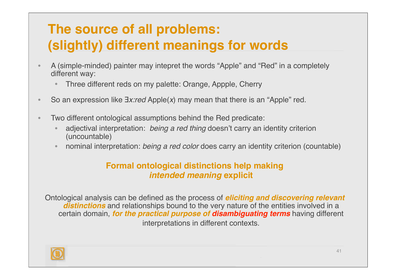# **The source of all problems: (slightly) different meanings for words**

- A (simple-minded) painter may intepret the words "Apple" and "Red" in a completely different way:
	- Three different reds on my palette: Orange, Appple, Cherry
- So an expression like ∃*x:red* Apple(*x*) may mean that there is an "Apple" red.
- Two different ontological assumptions behind the Red predicate:
	- adjectival interpretation: *being a red thing* doesn't carry an identity criterion (uncountable)
	- nominal interpretation: *being a red color* does carry an identity criterion (countable)

#### **Formal ontological distinctions help making** *intended meaning* **explicit**

Ontological analysis can be defined as the process of *eliciting and discovering relevant distinctions* and relationships bound to the very nature of the entities involved in a certain domain, *for the practical purpose of disambiguating terms* having different interpretations in different contexts.

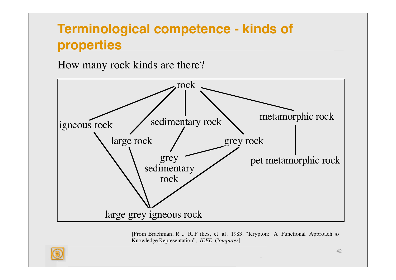## **Terminological competence - kinds of properties**

How many rock kinds are there?



[From Brachman, R ., R. F ikes, et al. 1983. "Krypton: A Functional Approach to Knowledge Representation", *IEEE Computer*]

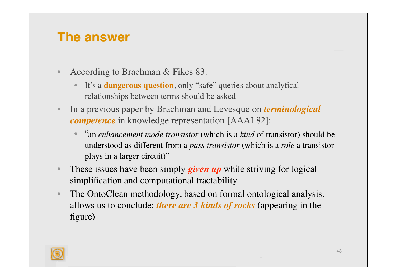#### **The answer**

- According to Brachman & Fikes 83:
	- It's a **dangerous question**, only "safe" queries about analytical relationships between terms should be asked
- In a previous paper by Brachman and Levesque on *terminological competence* in knowledge representation [AAAI 82]:
	- "an *enhancement mode transistor* (which is a *kind* of transistor) should be understood as different from a *pass transistor* (which is a *role* a transistor plays in a larger circuit)"
- These issues have been simply *given up* while striving for logical simplification and computational tractability
- The OntoClean methodology, based on formal ontological analysis, allows us to conclude: *there are 3 kinds of rocks* (appearing in the figure)

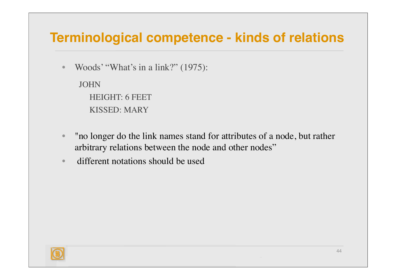### **Terminological competence - kinds of relations**

• Woods' "What's in a link?" (1975):

JOHN HEIGHT: 6 FEET KISSED: MARY

- "no longer do the link names stand for attributes of a node, but rather arbitrary relations between the node and other nodes"
- different notations should be used

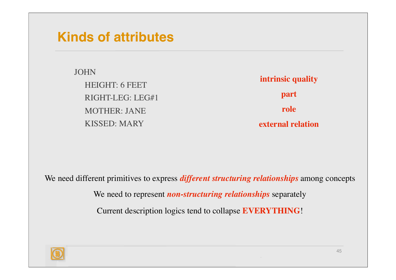#### **Kinds of attributes**

JOHN HEIGHT: 6 FEET RIGHT-LEG: LEG#1 MOTHER: JANE KISSED: MARY

**intrinsic quality part role external relation**

We need different primitives to express *different structuring relationships* among concepts

We need to represent *non-structuring relationships* separately

Current description logics tend to collapse **EVERYTHING**!

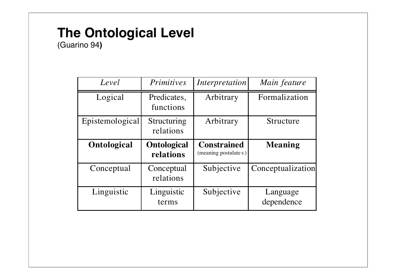## **The Ontological Level**

(Guarino 94**)**

| Level           | <b>Primitives</b>        | Interpretation        | Main feature      |
|-----------------|--------------------------|-----------------------|-------------------|
| Logical         | Predicates,<br>functions | Arbitrary             | Formalization     |
| Epistemological | Structuring<br>relations | Arbitrary             | Structure         |
| Ontological     | <b>Ontological</b>       | <b>Constrained</b>    | <b>Meaning</b>    |
|                 | relations                | (meaning postulate s) |                   |
| Conceptual      | Conceptual<br>relations  | Subjective            | Conceptualization |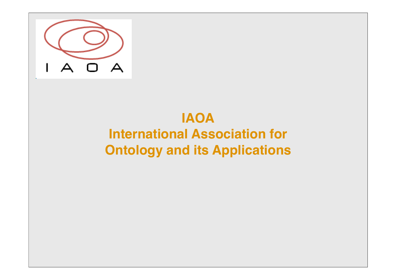

# **IAOA International Association for Ontology and its Applications**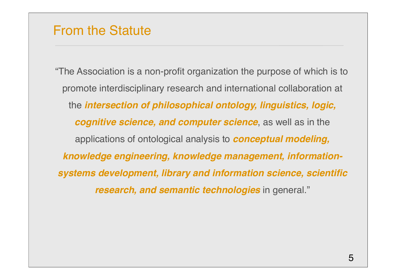#### From the Statute

"The Association is a non-profit organization the purpose of which is to promote interdisciplinary research and international collaboration at the *intersection of philosophical ontology, linguistics, logic, cognitive science, and computer science*, as well as in the applications of ontological analysis to *conceptual modeling, knowledge engineering, knowledge management, informationsystems development, library and information science, scientific research, and semantic technologies* in general."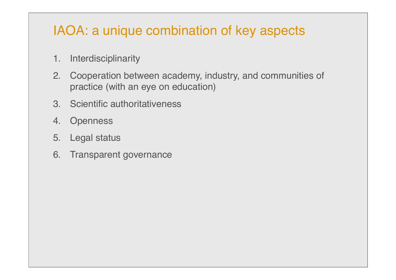## IAOA: a unique combination of key aspects

- 1. Interdisciplinarity
- 2. Cooperation between academy, industry, and communities of practice (with an eye on education)
- 3. Scientific authoritativeness
- 4. Openness
- 5. Legal status
- 6. Transparent governance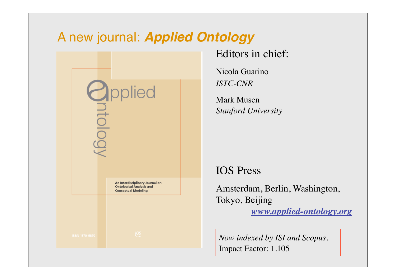#### A new journal: *Applied Ontology*



#### Editors in chief:

Nicola Guarino *ISTC-CNR*

Mark Musen *Stanford University*

#### IOS Press

Amsterdam, Berlin, Washington, Tokyo, Beijing *www.applied-ontology.org*

*Now indexed by ISI and Scopus.*  Impact Factor: 1.105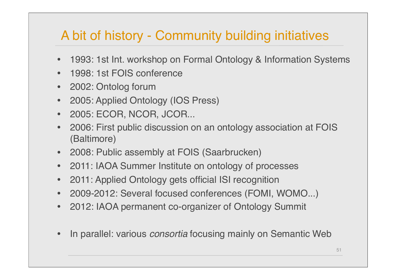## A bit of history - Community building initiatives

- 1993: 1st Int. workshop on Formal Ontology & Information Systems
- 1998: 1st FOIS conference
- 2002: Ontolog forum
- 2005: Applied Ontology (IOS Press)
- 2005: ECOR, NCOR, JCOR...
- 2006: First public discussion on an ontology association at FOIS (Baltimore)
- 2008: Public assembly at FOIS (Saarbrucken)
- 2011: IAOA Summer Institute on ontology of processes
- 2011: Applied Ontology gets official ISI recognition
- 2009-2012: Several focused conferences (FOMI, WOMO...)
- 2012: IAOA permanent co-organizer of Ontology Summit
- In parallel: various *consortia* focusing mainly on Semantic Web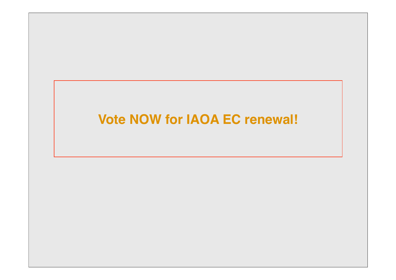## **Vote NOW for IAOA EC renewal!**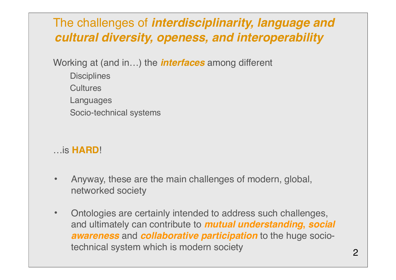#### The challenges of *interdisciplinarity, language and cultural diversity, openess, and interoperability*

Working at (and in…) the *interfaces* among different

- **Disciplines Cultures**
- Languages
- Socio-technical systems

#### …is **HARD**!

- Anyway, these are the main challenges of modern, global, networked society
- Ontologies are certainly intended to address such challenges, and ultimately can contribute to *mutual understanding***,** *social awareness* and *collaborative participation* to the huge sociotechnical system which is modern society